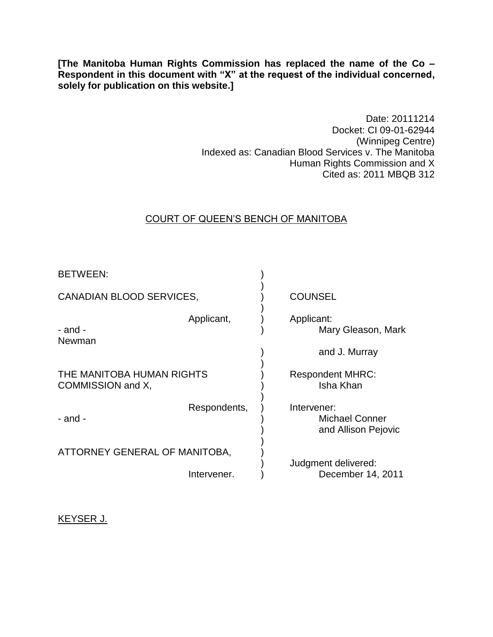**[The Manitoba Human Rights Commission has replaced the name of the Co – Respondent in this document with "X" at the request of the individual concerned, solely for publication on this website.]**

> Date: 20111214 Docket: CI 09-01-62944 (Winnipeg Centre) Indexed as: Canadian Blood Services v. The Manitoba Human Rights Commission and X Cited as: 2011 MBQB 312

# COURT OF QUEEN'S BENCH OF MANITOBA

| BETWEEN:                                       |              |                                                             |
|------------------------------------------------|--------------|-------------------------------------------------------------|
| <b>CANADIAN BLOOD SERVICES,</b>                |              | <b>COUNSEL</b>                                              |
| - and -<br>Newman                              | Applicant,   | Applicant:<br>Mary Gleason, Mark                            |
|                                                |              | and J. Murray                                               |
| THE MANITOBA HUMAN RIGHTS<br>COMMISSION and X, |              | <b>Respondent MHRC:</b><br>Isha Khan                        |
| - and -                                        | Respondents, | Intervener:<br><b>Michael Conner</b><br>and Allison Pejovic |
| ATTORNEY GENERAL OF MANITOBA,                  |              |                                                             |
|                                                | Intervener.  | Judgment delivered:<br>December 14, 2011                    |

KEYSER J.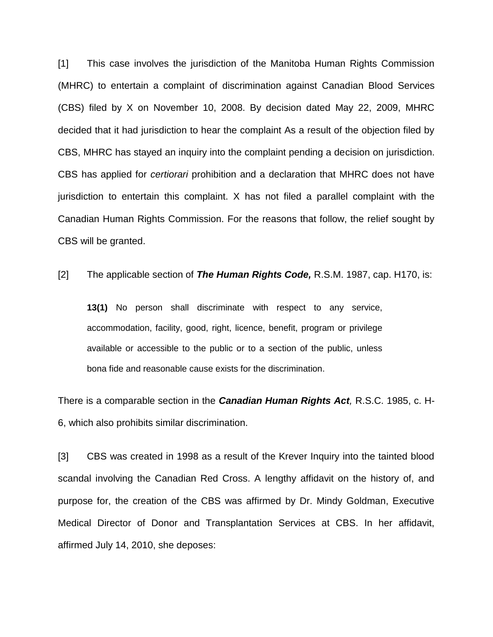[1] This case involves the jurisdiction of the Manitoba Human Rights Commission (MHRC) to entertain a complaint of discrimination against Canadian Blood Services (CBS) filed by X on November 10, 2008. By decision dated May 22, 2009, MHRC decided that it had jurisdiction to hear the complaint As a result of the objection filed by CBS, MHRC has stayed an inquiry into the complaint pending a decision on jurisdiction. CBS has applied for *certiorari* prohibition and a declaration that MHRC does not have jurisdiction to entertain this complaint. X has not filed a parallel complaint with the Canadian Human Rights Commission. For the reasons that follow, the relief sought by CBS will be granted.

[2] The applicable section of *The Human Rights Code,* R.S.M. 1987, cap. H170, is:

**13(1)** No person shall discriminate with respect to any service, accommodation, facility, good, right, licence, benefit, program or privilege available or accessible to the public or to a section of the public, unless bona fide and reasonable cause exists for the discrimination.

There is a comparable section in the *Canadian Human Rights Act,* R.S.C. 1985, c. H-6, which also prohibits similar discrimination.

[3] CBS was created in 1998 as a result of the Krever Inquiry into the tainted blood scandal involving the Canadian Red Cross. A lengthy affidavit on the history of, and purpose for, the creation of the CBS was affirmed by Dr. Mindy Goldman, Executive Medical Director of Donor and Transplantation Services at CBS. In her affidavit, affirmed July 14, 2010, she deposes: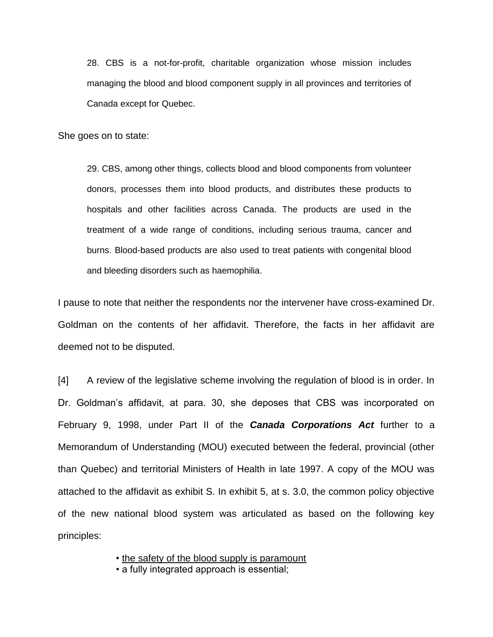28. CBS is a not-for-profit, charitable organization whose mission includes managing the blood and blood component supply in all provinces and territories of Canada except for Quebec.

She goes on to state:

29. CBS, among other things, collects blood and blood components from volunteer donors, processes them into blood products, and distributes these products to hospitals and other facilities across Canada. The products are used in the treatment of a wide range of conditions, including serious trauma, cancer and burns. Blood-based products are also used to treat patients with congenital blood and bleeding disorders such as haemophilia.

I pause to note that neither the respondents nor the intervener have cross-examined Dr. Goldman on the contents of her affidavit. Therefore, the facts in her affidavit are deemed not to be disputed.

[4] A review of the legislative scheme involving the regulation of blood is in order. In Dr. Goldman's affidavit, at para. 30, she deposes that CBS was incorporated on February 9, 1998, under Part II of the *Canada Corporations Act* further to a Memorandum of Understanding (MOU) executed between the federal, provincial (other than Quebec) and territorial Ministers of Health in late 1997. A copy of the MOU was attached to the affidavit as exhibit S. In exhibit 5, at s. 3.0, the common policy objective of the new national blood system was articulated as based on the following key principles:

• the safety of the blood supply is paramount

• a fully integrated approach is essential;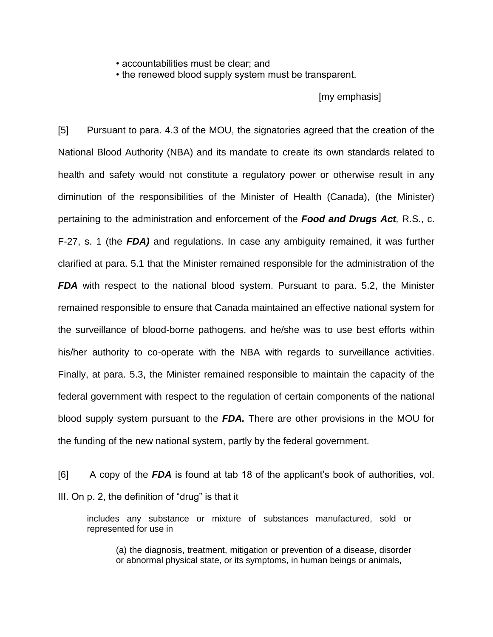• accountabilities must be clear; and

• the renewed blood supply system must be transparent.

[my emphasis]

[5] Pursuant to para. 4.3 of the MOU, the signatories agreed that the creation of the National Blood Authority (NBA) and its mandate to create its own standards related to health and safety would not constitute a regulatory power or otherwise result in any diminution of the responsibilities of the Minister of Health (Canada), (the Minister) pertaining to the administration and enforcement of the *Food and Drugs Act,* R.S., c. F-27, s. 1 (the *FDA)* and regulations. In case any ambiguity remained, it was further clarified at para. 5.1 that the Minister remained responsible for the administration of the **FDA** with respect to the national blood system. Pursuant to para. 5.2, the Minister remained responsible to ensure that Canada maintained an effective national system for the surveillance of blood-borne pathogens, and he/she was to use best efforts within his/her authority to co-operate with the NBA with regards to surveillance activities. Finally, at para. 5.3, the Minister remained responsible to maintain the capacity of the federal government with respect to the regulation of certain components of the national blood supply system pursuant to the *FDA.* There are other provisions in the MOU for the funding of the new national system, partly by the federal government.

[6] A copy of the *FDA* is found at tab 18 of the applicant's book of authorities, vol. III. On p. 2, the definition of "drug" is that it

includes any substance or mixture of substances manufactured, sold or represented for use in

(a) the diagnosis, treatment, mitigation or prevention of a disease, disorder or abnormal physical state, or its symptoms, in human beings or animals,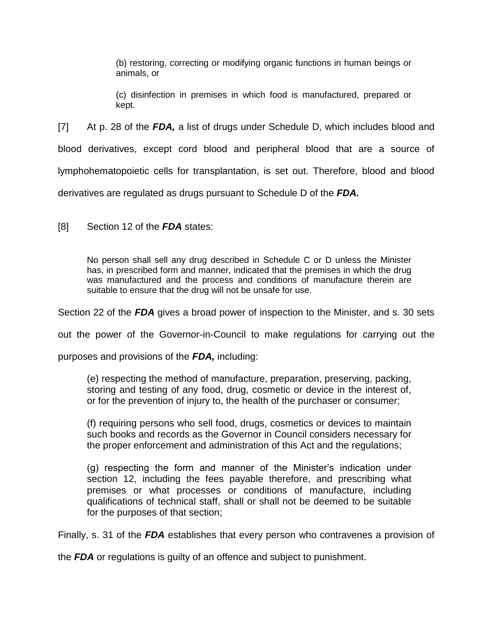(b) restoring, correcting or modifying organic functions in human beings or animals, or

(c) disinfection in premises in which food is manufactured, prepared or kept.

[7] At p. 28 of the *FDA,* a list of drugs under Schedule D, which includes blood and blood derivatives, except cord blood and peripheral blood that are a source of lymphohematopoietic cells for transplantation, is set out. Therefore, blood and blood derivatives are regulated as drugs pursuant to Schedule D of the *FDA.* 

[8] Section 12 of the *FDA* states:

No person shall sell any drug described in Schedule C or D unless the Minister has, in prescribed form and manner, indicated that the premises in which the drug was manufactured and the process and conditions of manufacture therein are suitable to ensure that the drug will not be unsafe for use.

Section 22 of the *FDA* gives a broad power of inspection to the Minister, and s. 30 sets

out the power of the Governor-in-Council to make regulations for carrying out the

purposes and provisions of the *FDA,* including:

(e) respecting the method of manufacture, preparation, preserving, packing, storing and testing of any food, drug, cosmetic or device in the interest of, or for the prevention of injury to, the health of the purchaser or consumer;

(f) requiring persons who sell food, drugs, cosmetics or devices to maintain such books and records as the Governor in Council considers necessary for the proper enforcement and administration of this Act and the regulations;

(g) respecting the form and manner of the Minister's indication under section 12, including the fees payable therefore, and prescribing what premises or what processes or conditions of manufacture, including qualifications of technical staff, shall or shall not be deemed to be suitable for the purposes of that section;

Finally, s. 31 of the *FDA* establishes that every person who contravenes a provision of

the *FDA* or regulations is guilty of an offence and subject to punishment.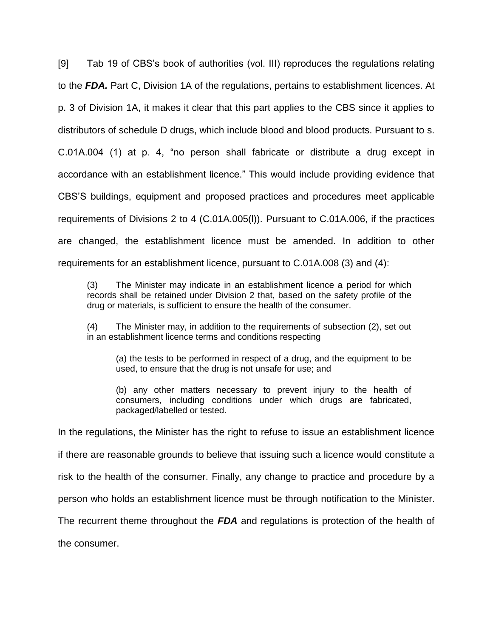[9] Tab 19 of CBS's book of authorities (vol. III) reproduces the regulations relating to the *FDA.* Part C, Division 1A of the regulations, pertains to establishment licences. At p. 3 of Division 1A, it makes it clear that this part applies to the CBS since it applies to distributors of schedule D drugs, which include blood and blood products. Pursuant to s. C.01A.004 (1) at p. 4, "no person shall fabricate or distribute a drug except in accordance with an establishment licence." This would include providing evidence that CBS'S buildings, equipment and proposed practices and procedures meet applicable requirements of Divisions 2 to 4 (C.01A.005(l)). Pursuant to C.01A.006, if the practices are changed, the establishment licence must be amended. In addition to other requirements for an establishment licence, pursuant to C.01A.008 (3) and (4):

(3) The Minister may indicate in an establishment licence a period for which records shall be retained under Division 2 that, based on the safety profile of the drug or materials, is sufficient to ensure the health of the consumer.

(4) The Minister may, in addition to the requirements of subsection (2), set out in an establishment licence terms and conditions respecting

(a) the tests to be performed in respect of a drug, and the equipment to be used, to ensure that the drug is not unsafe for use; and

(b) any other matters necessary to prevent injury to the health of consumers, including conditions under which drugs are fabricated, packaged/labelled or tested.

In the regulations, the Minister has the right to refuse to issue an establishment licence

if there are reasonable grounds to believe that issuing such a licence would constitute a

risk to the health of the consumer. Finally, any change to practice and procedure by a

person who holds an establishment licence must be through notification to the Minister.

The recurrent theme throughout the *FDA* and regulations is protection of the health of

the consumer.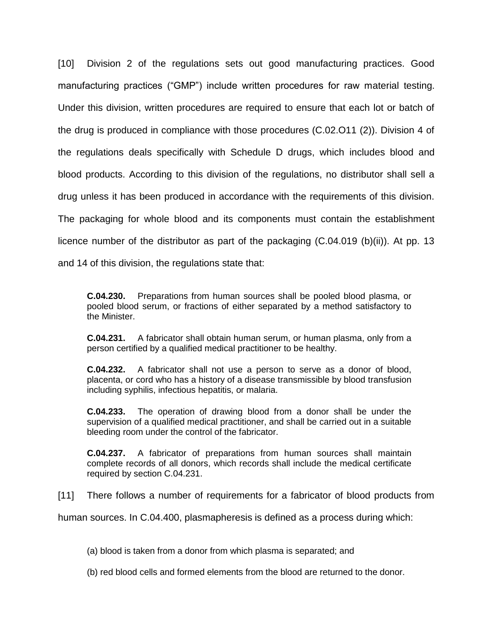[10] Division 2 of the regulations sets out good manufacturing practices. Good manufacturing practices ("GMP") include written procedures for raw material testing. Under this division, written procedures are required to ensure that each lot or batch of the drug is produced in compliance with those procedures (C.02.O11 (2)). Division 4 of the regulations deals specifically with Schedule D drugs, which includes blood and blood products. According to this division of the regulations, no distributor shall sell a drug unless it has been produced in accordance with the requirements of this division. The packaging for whole blood and its components must contain the establishment licence number of the distributor as part of the packaging (C.04.019 (b)(ii)). At pp. 13 and 14 of this division, the regulations state that:

**C.04.230.** Preparations from human sources shall be pooled blood plasma, or pooled blood serum, or fractions of either separated by a method satisfactory to the Minister.

**C.04.231.** A fabricator shall obtain human serum, or human plasma, only from a person certified by a qualified medical practitioner to be healthy.

**C.04.232.** A fabricator shall not use a person to serve as a donor of blood, placenta, or cord who has a history of a disease transmissible by blood transfusion including syphilis, infectious hepatitis, or malaria.

**C.04.233.** The operation of drawing blood from a donor shall be under the supervision of a qualified medical practitioner, and shall be carried out in a suitable bleeding room under the control of the fabricator.

**C.04.237.** A fabricator of preparations from human sources shall maintain complete records of all donors, which records shall include the medical certificate required by section C.04.231.

[11] There follows a number of requirements for a fabricator of blood products from

human sources. In C.04.400, plasmapheresis is defined as a process during which:

(a) blood is taken from a donor from which plasma is separated; and

(b) red blood cells and formed elements from the blood are returned to the donor.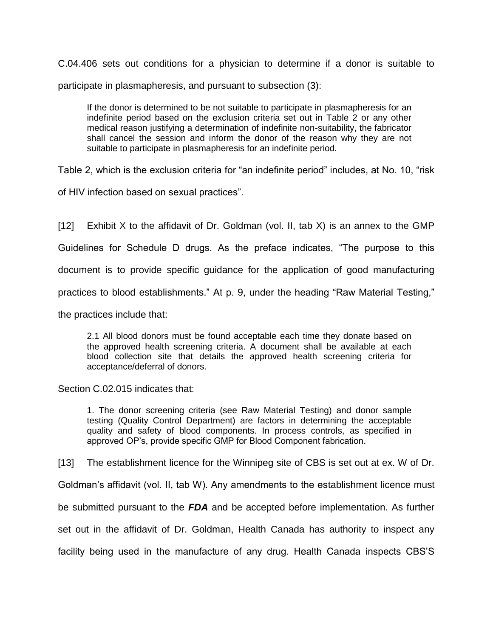C.04.406 sets out conditions for a physician to determine if a donor is suitable to participate in plasmapheresis, and pursuant to subsection (3):

If the donor is determined to be not suitable to participate in plasmapheresis for an indefinite period based on the exclusion criteria set out in Table 2 or any other medical reason justifying a determination of indefinite non-suitability, the fabricator shall cancel the session and inform the donor of the reason why they are not suitable to participate in plasmapheresis for an indefinite period.

Table 2, which is the exclusion criteria for "an indefinite period" includes, at No. 10, "risk

of HIV infection based on sexual practices".

[12] Exhibit X to the affidavit of Dr. Goldman (vol. II, tab X) is an annex to the GMP Guidelines for Schedule D drugs. As the preface indicates, "The purpose to this document is to provide specific guidance for the application of good manufacturing practices to blood establishments." At p. 9, under the heading "Raw Material Testing," the practices include that:

2.1 All blood donors must be found acceptable each time they donate based on the approved health screening criteria. A document shall be available at each blood collection site that details the approved health screening criteria for acceptance/deferral of donors.

Section C.02.015 indicates that:

1. The donor screening criteria (see Raw Material Testing) and donor sample testing (Quality Control Department) are factors in determining the acceptable quality and safety of blood components. In process controls, as specified in approved OP's, provide specific GMP for Blood Component fabrication.

[13] The establishment licence for the Winnipeg site of CBS is set out at ex. W of Dr.

Goldman's affidavit (vol. II, tab W). Any amendments to the establishment licence must

be submitted pursuant to the *FDA* and be accepted before implementation. As further

set out in the affidavit of Dr. Goldman, Health Canada has authority to inspect any

facility being used in the manufacture of any drug. Health Canada inspects CBS'S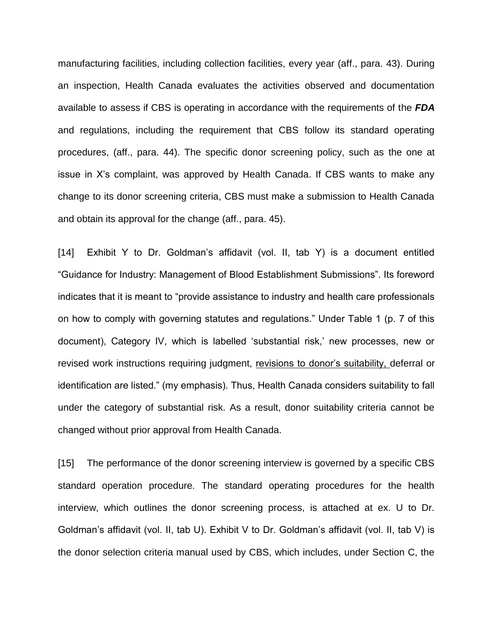manufacturing facilities, including collection facilities, every year (aff., para. 43). During an inspection, Health Canada evaluates the activities observed and documentation available to assess if CBS is operating in accordance with the requirements of the *FDA*  and regulations, including the requirement that CBS follow its standard operating procedures, (aff., para. 44). The specific donor screening policy, such as the one at issue in X's complaint, was approved by Health Canada. If CBS wants to make any change to its donor screening criteria, CBS must make a submission to Health Canada and obtain its approval for the change (aff., para. 45).

[14] Exhibit Y to Dr. Goldman's affidavit (vol. II, tab Y) is a document entitled "Guidance for Industry: Management of Blood Establishment Submissions". Its foreword indicates that it is meant to "provide assistance to industry and health care professionals on how to comply with governing statutes and regulations." Under Table 1 (p. 7 of this document), Category IV, which is labelled 'substantial risk,' new processes, new or revised work instructions requiring judgment, revisions to donor's suitability, deferral or identification are listed." (my emphasis). Thus, Health Canada considers suitability to fall under the category of substantial risk. As a result, donor suitability criteria cannot be changed without prior approval from Health Canada.

[15] The performance of the donor screening interview is governed by a specific CBS standard operation procedure. The standard operating procedures for the health interview, which outlines the donor screening process, is attached at ex. U to Dr. Goldman's affidavit (vol. II, tab U). Exhibit V to Dr. Goldman's affidavit (vol. II, tab V) is the donor selection criteria manual used by CBS, which includes, under Section C, the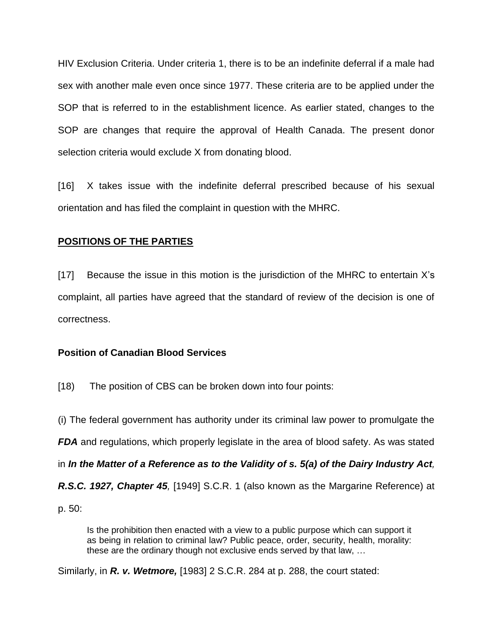HIV Exclusion Criteria. Under criteria 1, there is to be an indefinite deferral if a male had sex with another male even once since 1977. These criteria are to be applied under the SOP that is referred to in the establishment licence. As earlier stated, changes to the SOP are changes that require the approval of Health Canada. The present donor selection criteria would exclude X from donating blood.

[16] X takes issue with the indefinite deferral prescribed because of his sexual orientation and has filed the complaint in question with the MHRC.

## **POSITIONS OF THE PARTIES**

[17] Because the issue in this motion is the jurisdiction of the MHRC to entertain X's complaint, all parties have agreed that the standard of review of the decision is one of correctness.

### **Position of Canadian Blood Services**

[18) The position of CBS can be broken down into four points:

(i) The federal government has authority under its criminal law power to promulgate the *FDA* and regulations, which properly legislate in the area of blood safety. As was stated in *In the Matter of a Reference as to the Validity of s. 5(a) of the Dairy Industry Act, R.S.C. 1927, Chapter 45,* [1949] S.C.R. 1 (also known as the Margarine Reference) at p. 50:

Is the prohibition then enacted with a view to a public purpose which can support it as being in relation to criminal law? Public peace, order, security, health, morality: these are the ordinary though not exclusive ends served by that law, …

Similarly, in *R. v. Wetmore,* [1983] 2 S.C.R. 284 at p. 288, the court stated: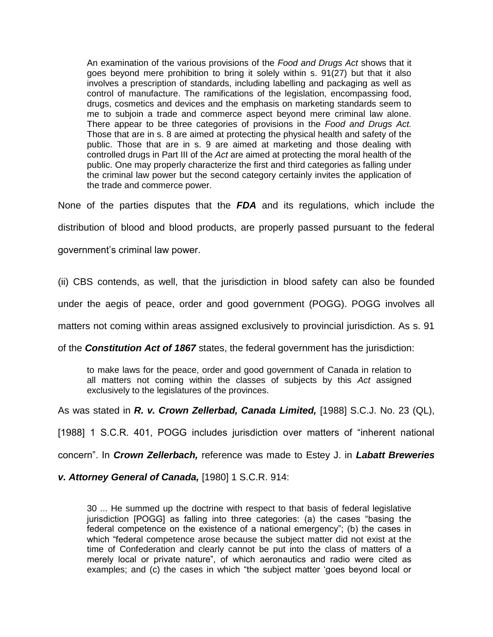An examination of the various provisions of the *Food and Drugs Act* shows that it goes beyond mere prohibition to bring it solely within s. 91(27) but that it also involves a prescription of standards, including labelling and packaging as well as control of manufacture. The ramifications of the legislation, encompassing food, drugs, cosmetics and devices and the emphasis on marketing standards seem to me to subjoin a trade and commerce aspect beyond mere criminal law alone. There appear to be three categories of provisions in the *Food and Drugs Act.*  Those that are in s. 8 are aimed at protecting the physical health and safety of the public. Those that are in s. 9 are aimed at marketing and those dealing with controlled drugs in Part III of the *Act* are aimed at protecting the moral health of the public. One may properly characterize the first and third categories as falling under the criminal law power but the second category certainly invites the application of the trade and commerce power.

None of the parties disputes that the *FDA* and its regulations, which include the

distribution of blood and blood products, are properly passed pursuant to the federal

government's criminal law power.

(ii) CBS contends, as well, that the jurisdiction in blood safety can also be founded

under the aegis of peace, order and good government (POGG). POGG involves all

matters not coming within areas assigned exclusively to provincial jurisdiction. As s. 91

of the *Constitution Act of 1867* states, the federal government has the jurisdiction:

to make laws for the peace, order and good government of Canada in relation to all matters not coming within the classes of subjects by this *Act* assigned exclusively to the legislatures of the provinces.

As was stated in *R. v. Crown Zellerbad, Canada Limited,* [1988] S.C.J. No. 23 (QL),

[1988] 1 S.C.R. 401, POGG includes jurisdiction over matters of "inherent national

concern". In *Crown Zellerbach,* reference was made to Estey J. in *Labatt Breweries* 

*v. Attorney General of Canada,* [1980] 1 S.C.R. 914:

30 ... He summed up the doctrine with respect to that basis of federal legislative jurisdiction [POGG] as falling into three categories: (a) the cases "basing the federal competence on the existence of a national emergency"; (b) the cases in which "federal competence arose because the subject matter did not exist at the time of Confederation and clearly cannot be put into the class of matters of a merely local or private nature", of which aeronautics and radio were cited as examples; and (c) the cases in which "the subject matter 'goes beyond local or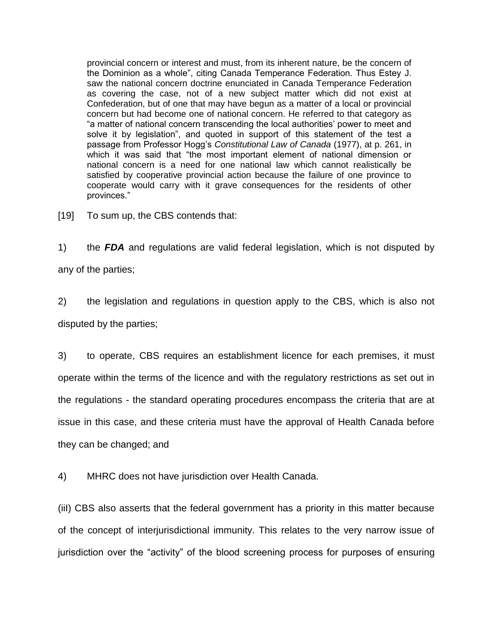provincial concern or interest and must, from its inherent nature, be the concern of the Dominion as a whole", citing Canada Temperance Federation. Thus Estey J. saw the national concern doctrine enunciated in Canada Temperance Federation as covering the case, not of a new subject matter which did not exist at Confederation, but of one that may have begun as a matter of a local or provincial concern but had become one of national concern. He referred to that category as "a matter of national concern transcending the local authorities' power to meet and solve it by legislation", and quoted in support of this statement of the test a passage from Professor Hogg's *Constitutional Law of Canada* (1977), at p. 261, in which it was said that "the most important element of national dimension or national concern is a need for one national law which cannot realistically be satisfied by cooperative provincial action because the failure of one province to cooperate would carry with it grave consequences for the residents of other provinces."

[19] To sum up, the CBS contends that:

1) the *FDA* and regulations are valid federal legislation, which is not disputed by any of the parties;

2) the legislation and regulations in question apply to the CBS, which is also not disputed by the parties;

3) to operate, CBS requires an establishment licence for each premises, it must operate within the terms of the licence and with the regulatory restrictions as set out in the regulations - the standard operating procedures encompass the criteria that are at issue in this case, and these criteria must have the approval of Health Canada before they can be changed; and

4) MHRC does not have jurisdiction over Health Canada.

(iiI) CBS also asserts that the federal government has a priority in this matter because of the concept of interjurisdictional immunity. This relates to the very narrow issue of jurisdiction over the "activity" of the blood screening process for purposes of ensuring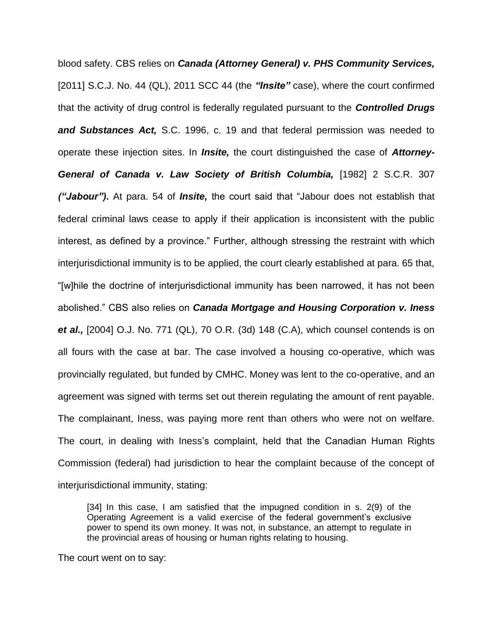blood safety. CBS relies on *Canada (Attorney General) v. PHS Community Services,*  [2011] S.C.J. No. 44 (QL), 2011 SCC 44 (the *"Insite"* case), where the court confirmed that the activity of drug control is federally regulated pursuant to the *Controlled Drugs and Substances Act,* S.C. 1996, c. 19 and that federal permission was needed to operate these injection sites. In *Insite,* the court distinguished the case of *Attorney-General of Canada v. Law Society of British Columbia,* [1982] 2 S.C.R. 307 *("Jabour").* At para. 54 of *Insite,* the court said that "Jabour does not establish that federal criminal laws cease to apply if their application is inconsistent with the public interest, as defined by a province." Further, although stressing the restraint with which interjurisdictional immunity is to be applied, the court clearly established at para. 65 that, "[w]hile the doctrine of interjurisdictional immunity has been narrowed, it has not been abolished." CBS also relies on *Canada Mortgage and Housing Corporation v. Iness et al.,* [2004] O.J. No. 771 (QL), 70 O.R. (3d) 148 (C.A), which counsel contends is on all fours with the case at bar. The case involved a housing co-operative, which was provincially regulated, but funded by CMHC. Money was lent to the co-operative, and an agreement was signed with terms set out therein regulating the amount of rent payable. The complainant, Iness, was paying more rent than others who were not on welfare. The court, in dealing with Iness's complaint, held that the Canadian Human Rights Commission (federal) had jurisdiction to hear the complaint because of the concept of interjurisdictional immunity, stating:

[34] In this case, I am satisfied that the impugned condition in s. 2(9) of the Operating Agreement is a valid exercise of the federal government's exclusive power to spend its own money. It was not, in substance, an attempt to regulate in the provincial areas of housing or human rights relating to housing.

The court went on to say: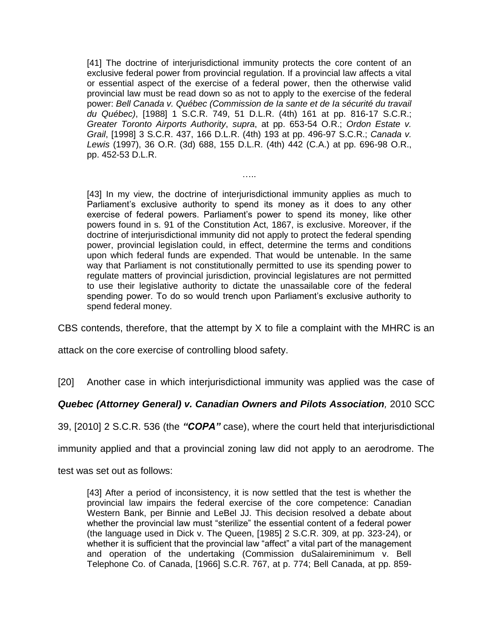[41] The doctrine of interjurisdictional immunity protects the core content of an exclusive federal power from provincial regulation. If a provincial law affects a vital or essential aspect of the exercise of a federal power, then the otherwise valid provincial law must be read down so as not to apply to the exercise of the federal power: *Bell Canada v. Québec (Commission de Ia sante et de Ia sécurité du travail du Québec)*, [1988] 1 S.C.R. 749, 51 D.L.R. (4th) 161 at pp. 816-17 S.C.R.; *Greater Toronto Airports Authority*, *supra*, at pp. 653-54 O.R.; *Ordon Estate v. Grail*, [1998] 3 S.C.R. 437, 166 D.L.R. (4th) 193 at pp. 496-97 S.C.R.; *Canada v. Lewis* (1997), 36 O.R. (3d) 688, 155 D.L.R. (4th) 442 (C.A.) at pp. 696-98 O.R., pp. 452-53 D.L.R.

…..

[43] In my view, the doctrine of interjurisdictional immunity applies as much to Parliament's exclusive authority to spend its money as it does to any other exercise of federal powers. Parliament's power to spend its money, like other powers found in s. 91 of the Constitution Act, 1867, is exclusive. Moreover, if the doctrine of interjurisdictional immunity did not apply to protect the federal spending power, provincial legislation could, in effect, determine the terms and conditions upon which federal funds are expended. That would be untenable. In the same way that Parliament is not constitutionally permitted to use its spending power to regulate matters of provincial jurisdiction, provincial legislatures are not permitted to use their legislative authority to dictate the unassailable core of the federal spending power. To do so would trench upon Parliament's exclusive authority to spend federal money.

CBS contends, therefore, that the attempt by X to file a complaint with the MHRC is an

attack on the core exercise of controlling blood safety.

[20] Another case in which interjurisdictional immunity was applied was the case of

### *Quebec (Attorney General) v. Canadian Owners and Pilots Association,* 2010 SCC

39, [2010] 2 S.C.R. 536 (the *"COPA"* case), where the court held that interjurisdictional

immunity applied and that a provincial zoning law did not apply to an aerodrome. The

test was set out as follows:

[43] After a period of inconsistency, it is now settled that the test is whether the provincial law impairs the federal exercise of the core competence: Canadian Western Bank, per Binnie and LeBel JJ. This decision resolved a debate about whether the provincial law must "sterilize" the essential content of a federal power (the language used in Dick v. The Queen, [1985] 2 S.C.R. 309, at pp. 323-24), or whether it is sufficient that the provincial law "affect" a vital part of the management and operation of the undertaking (Commission duSalaireminimum v. Bell Telephone Co. of Canada, [1966] S.C.R. 767, at p. 774; Bell Canada, at pp. 859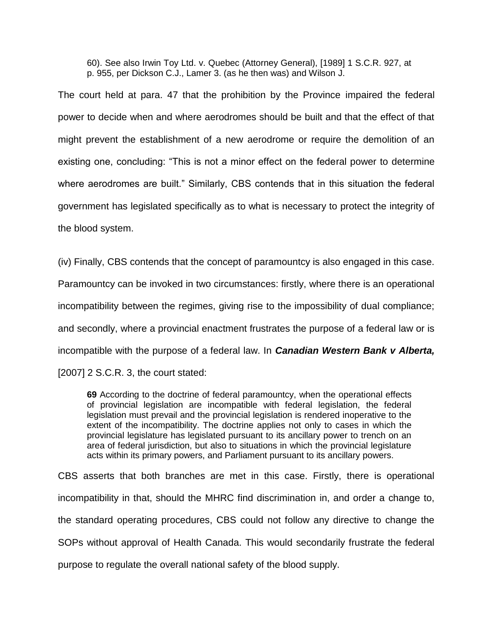60). See also Irwin Toy Ltd. v. Quebec (Attorney General), [1989] 1 S.C.R. 927, at p. 955, per Dickson C.J., Lamer 3. (as he then was) and Wilson J.

The court held at para. 47 that the prohibition by the Province impaired the federal power to decide when and where aerodromes should be built and that the effect of that might prevent the establishment of a new aerodrome or require the demolition of an existing one, concluding: "This is not a minor effect on the federal power to determine where aerodromes are built." Similarly, CBS contends that in this situation the federal government has legislated specifically as to what is necessary to protect the integrity of the blood system.

(iv) Finally, CBS contends that the concept of paramountcy is also engaged in this case.

Paramountcy can be invoked in two circumstances: firstly, where there is an operational

incompatibility between the regimes, giving rise to the impossibility of dual compliance;

and secondly, where a provincial enactment frustrates the purpose of a federal law or is

incompatible with the purpose of a federal law. In *Canadian Western Bank v Alberta,* 

[2007] 2 S.C.R. 3, the court stated:

**69** According to the doctrine of federal paramountcy, when the operational effects of provincial legislation are incompatible with federal legislation, the federal legislation must prevail and the provincial legislation is rendered inoperative to the extent of the incompatibility. The doctrine applies not only to cases in which the provincial legislature has legislated pursuant to its ancillary power to trench on an area of federal jurisdiction, but also to situations in which the provincial legislature acts within its primary powers, and Parliament pursuant to its ancillary powers.

CBS asserts that both branches are met in this case. Firstly, there is operational incompatibility in that, should the MHRC find discrimination in, and order a change to, the standard operating procedures, CBS could not follow any directive to change the SOPs without approval of Health Canada. This would secondarily frustrate the federal purpose to regulate the overall national safety of the blood supply.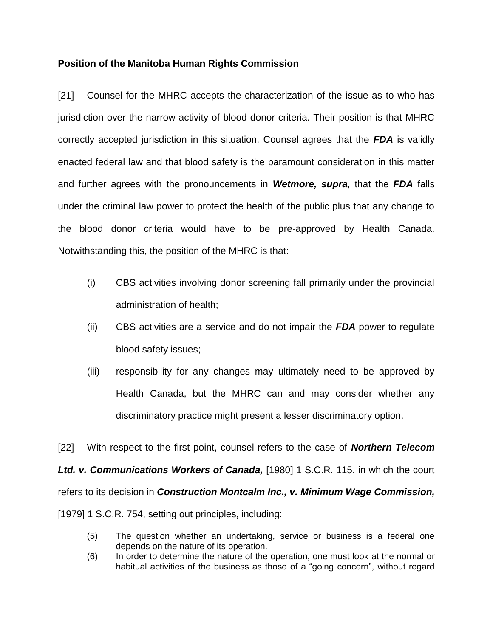## **Position of the Manitoba Human Rights Commission**

[21] Counsel for the MHRC accepts the characterization of the issue as to who has jurisdiction over the narrow activity of blood donor criteria. Their position is that MHRC correctly accepted jurisdiction in this situation. Counsel agrees that the *FDA* is validly enacted federal law and that blood safety is the paramount consideration in this matter and further agrees with the pronouncements in *Wetmore, supra,* that the *FDA* falls under the criminal law power to protect the health of the public plus that any change to the blood donor criteria would have to be pre-approved by Health Canada. Notwithstanding this, the position of the MHRC is that:

- (i) CBS activities involving donor screening fall primarily under the provincial administration of health;
- (ii) CBS activities are a service and do not impair the *FDA* power to regulate blood safety issues;
- (iii) responsibility for any changes may ultimately need to be approved by Health Canada, but the MHRC can and may consider whether any discriminatory practice might present a lesser discriminatory option.

[22] With respect to the first point, counsel refers to the case of *Northern Telecom Ltd. v. Communications Workers of Canada,* [1980] 1 S.C.R. 115, in which the court refers to its decision in *Construction Montcalm Inc., v. Minimum Wage Commission,*  [1979] 1 S.C.R. 754, setting out principles, including:

- (5) The question whether an undertaking, service or business is a federal one depends on the nature of its operation.
- (6) In order to determine the nature of the operation, one must look at the normal or habitual activities of the business as those of a "going concern", without regard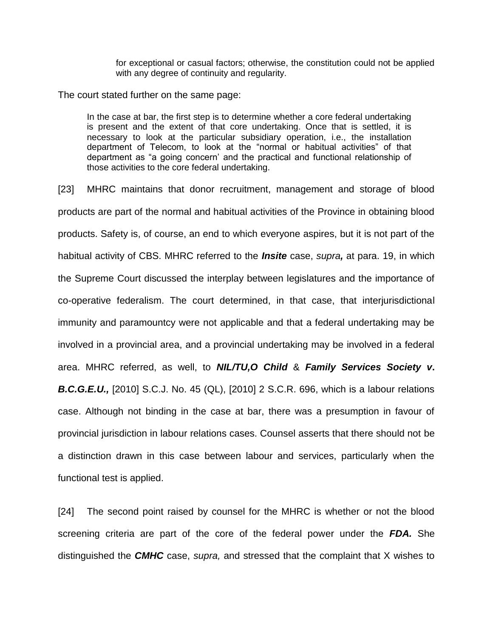for exceptional or casual factors; otherwise, the constitution could not be applied with any degree of continuity and regularity.

The court stated further on the same page:

In the case at bar, the first step is to determine whether a core federal undertaking is present and the extent of that core undertaking. Once that is settled, it is necessary to look at the particular subsidiary operation, i.e., the installation department of Telecom, to look at the "normal or habitual activities" of that department as "a going concern' and the practical and functional relationship of those activities to the core federal undertaking.

[23] MHRC maintains that donor recruitment, management and storage of blood products are part of the normal and habitual activities of the Province in obtaining blood products. Safety is, of course, an end to which everyone aspires, but it is not part of the habitual activity of CBS. MHRC referred to the *Insite* case, *supra,* at para. 19, in which the Supreme Court discussed the interplay between legislatures and the importance of co-operative federalism. The court determined, in that case, that interjurisdictional immunity and paramountcy were not applicable and that a federal undertaking may be involved in a provincial area, and a provincial undertaking may be involved in a federal area. MHRC referred, as well, to *NIL/TU,O Child* & *Family Services Society v***.** *B.C.G.E.U.,* [2010] S.C.J. No. 45 (QL), [2010] 2 S.C.R. 696, which is a labour relations case. Although not binding in the case at bar, there was a presumption in favour of provincial jurisdiction in labour relations cases. Counsel asserts that there should not be a distinction drawn in this case between labour and services, particularly when the functional test is applied.

[24] The second point raised by counsel for the MHRC is whether or not the blood screening criteria are part of the core of the federal power under the *FDA.* She distinguished the *CMHC* case, *supra,* and stressed that the complaint that X wishes to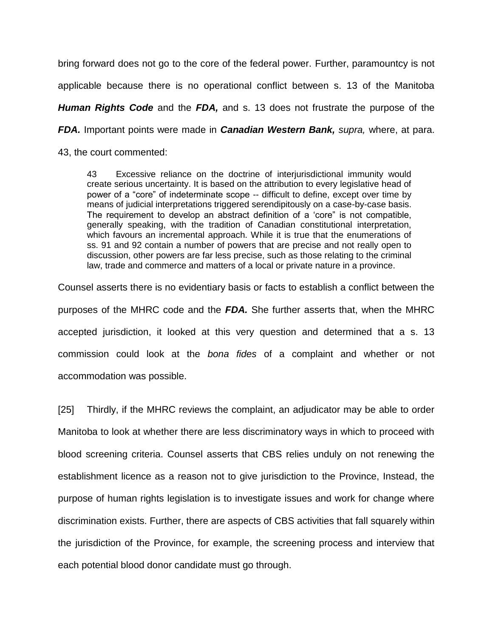bring forward does not go to the core of the federal power. Further, paramountcy is not applicable because there is no operational conflict between s. 13 of the Manitoba *Human Rights Code* and the *FDA,* and s. 13 does not frustrate the purpose of the *FDA.* Important points were made in *Canadian Western Bank, supra,* where, at para. 43, the court commented:

43 Excessive reliance on the doctrine of interjurisdictional immunity would create serious uncertainty. It is based on the attribution to every legislative head of power of a "core" of indeterminate scope -- difficult to define, except over time by means of judicial interpretations triggered serendipitously on a case-by-case basis. The requirement to develop an abstract definition of a 'core" is not compatible, generally speaking, with the tradition of Canadian constitutional interpretation, which favours an incremental approach. While it is true that the enumerations of ss. 91 and 92 contain a number of powers that are precise and not really open to discussion, other powers are far less precise, such as those relating to the criminal law, trade and commerce and matters of a local or private nature in a province.

Counsel asserts there is no evidentiary basis or facts to establish a conflict between the purposes of the MHRC code and the *FDA.* She further asserts that, when the MHRC accepted jurisdiction, it looked at this very question and determined that a s. 13 commission could look at the *bona fides* of a complaint and whether or not accommodation was possible.

[25] Thirdly, if the MHRC reviews the complaint, an adjudicator may be able to order Manitoba to look at whether there are less discriminatory ways in which to proceed with blood screening criteria. Counsel asserts that CBS relies unduly on not renewing the establishment licence as a reason not to give jurisdiction to the Province, Instead, the purpose of human rights legislation is to investigate issues and work for change where discrimination exists. Further, there are aspects of CBS activities that fall squarely within the jurisdiction of the Province, for example, the screening process and interview that each potential blood donor candidate must go through.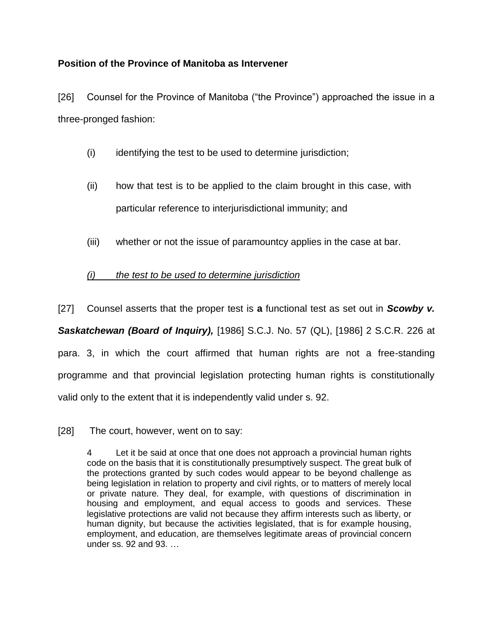## **Position of the Province of Manitoba as Intervener**

[26] Counsel for the Province of Manitoba ("the Province") approached the issue in a three-pronged fashion:

- (i) identifying the test to be used to determine jurisdiction;
- (ii) how that test is to be applied to the claim brought in this case, with particular reference to interjurisdictional immunity; and
- (iii) whether or not the issue of paramountcy applies in the case at bar.

# *(i) the test to be used to determine jurisdiction*

[27] Counsel asserts that the proper test is **a** functional test as set out in *Scowby v.* 

*Saskatchewan (Board of Inquiry),* [1986] S.C.J. No. 57 (QL), [1986] 2 S.C.R. 226 at para. 3, in which the court affirmed that human rights are not a free-standing programme and that provincial legislation protecting human rights is constitutionally valid only to the extent that it is independently valid under s. 92.

[28] The court, however, went on to say:

4 Let it be said at once that one does not approach a provincial human rights code on the basis that it is constitutionally presumptively suspect. The great bulk of the protections granted by such codes would appear to be beyond challenge as being legislation in relation to property and civil rights, or to matters of merely local or private nature. They deal, for example, with questions of discrimination in housing and employment, and equal access to goods and services. These legislative protections are valid not because they affirm interests such as liberty, or human dignity, but because the activities legislated, that is for example housing, employment, and education, are themselves legitimate areas of provincial concern under ss. 92 and 93. …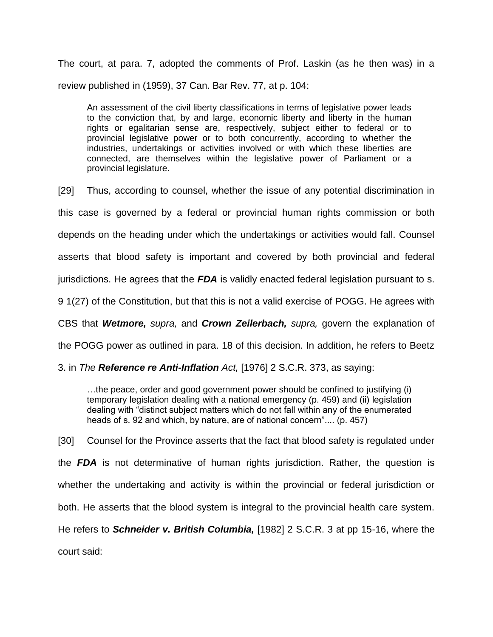The court, at para. 7, adopted the comments of Prof. Laskin (as he then was) in a review published in (1959), 37 Can. Bar Rev. 77, at p. 104:

An assessment of the civil liberty classifications in terms of legislative power leads to the conviction that, by and large, economic liberty and liberty in the human rights or egalitarian sense are, respectively, subject either to federal or to provincial legislative power or to both concurrently, according to whether the industries, undertakings or activities involved or with which these liberties are connected, are themselves within the legislative power of Parliament or a provincial legislature.

[29] Thus, according to counsel, whether the issue of any potential discrimination in this case is governed by a federal or provincial human rights commission or both depends on the heading under which the undertakings or activities would fall. Counsel asserts that blood safety is important and covered by both provincial and federal jurisdictions. He agrees that the *FDA* is validly enacted federal legislation pursuant to s. 9 1(27) of the Constitution, but that this is not a valid exercise of POGG. He agrees with

CBS that *Wetmore, supra,* and *Crown Zeilerbach, supra,* govern the explanation of

the POGG power as outlined in para. 18 of this decision. In addition, he refers to Beetz

3. in *The Reference re Anti-Inflation Act,* [1976] 2 S.C.R. 373, as saying:

…the peace, order and good government power should be confined to justifying (i) temporary legislation dealing with a national emergency (p. 459) and (ii) legislation dealing with "distinct subject matters which do not fall within any of the enumerated heads of s. 92 and which, by nature, are of national concern".... (p. 457)

[30] Counsel for the Province asserts that the fact that blood safety is regulated under the *FDA* is not determinative of human rights jurisdiction. Rather, the question is whether the undertaking and activity is within the provincial or federal jurisdiction or both. He asserts that the blood system is integral to the provincial health care system. He refers to *Schneider v. British Columbia,* [1982] 2 S.C.R. 3 at pp 15-16, where the court said: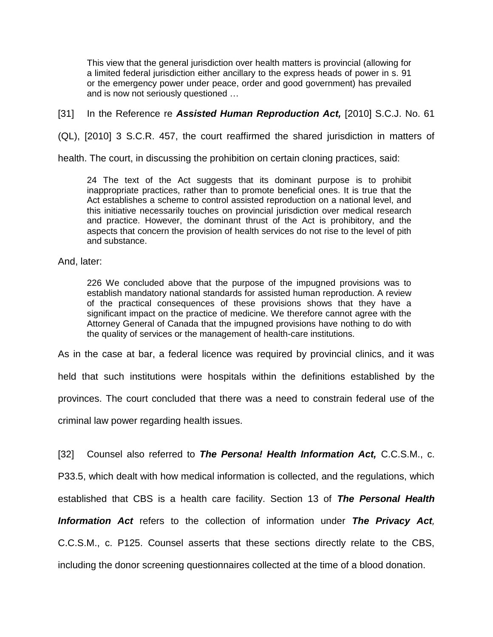This view that the general jurisdiction over health matters is provincial (allowing for a limited federal jurisdiction either ancillary to the express heads of power in s. 91 or the emergency power under peace, order and good government) has prevailed and is now not seriously questioned …

[31] In the Reference re **Assisted Human Reproduction Act,** [2010] S.C.J. No. 61

(QL), [2010] 3 S.C.R. 457, the court reaffirmed the shared jurisdiction in matters of

health. The court, in discussing the prohibition on certain cloning practices, said:

24 The text of the Act suggests that its dominant purpose is to prohibit inappropriate practices, rather than to promote beneficial ones. It is true that the Act establishes a scheme to control assisted reproduction on a national level, and this initiative necessarily touches on provincial jurisdiction over medical research and practice. However, the dominant thrust of the Act is prohibitory, and the aspects that concern the provision of health services do not rise to the level of pith and substance.

#### And, later:

226 We concluded above that the purpose of the impugned provisions was to establish mandatory national standards for assisted human reproduction. A review of the practical consequences of these provisions shows that they have a significant impact on the practice of medicine. We therefore cannot agree with the Attorney General of Canada that the impugned provisions have nothing to do with the quality of services or the management of health-care institutions.

As in the case at bar, a federal licence was required by provincial clinics, and it was

held that such institutions were hospitals within the definitions established by the provinces. The court concluded that there was a need to constrain federal use of the

criminal law power regarding health issues.

[32] Counsel also referred to *The Persona! Health Information Act,* C.C.S.M., c. P33.5, which dealt with how medical information is collected, and the regulations, which established that CBS is a health care facility. Section 13 of *The Personal Health Information Act* refers to the collection of information under *The Privacy Act,*  C.C.S.M., c. P125. Counsel asserts that these sections directly relate to the CBS, including the donor screening questionnaires collected at the time of a blood donation.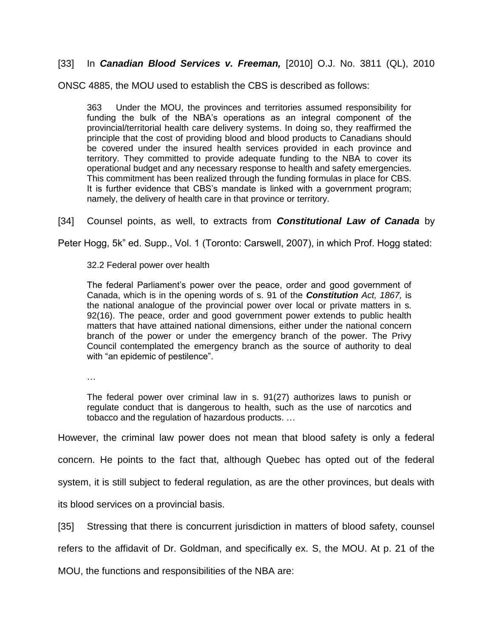## [33] In *Canadian Blood Services v. Freeman,* [2010] O.J. No. 3811 (QL), 2010

ONSC 4885, the MOU used to establish the CBS is described as follows:

363 Under the MOU, the provinces and territories assumed responsibility for funding the bulk of the NBA's operations as an integral component of the provincial/territorial health care delivery systems. In doing so, they reaffirmed the principle that the cost of providing blood and blood products to Canadians should be covered under the insured health services provided in each province and territory. They committed to provide adequate funding to the NBA to cover its operational budget and any necessary response to health and safety emergencies. This commitment has been realized through the funding formulas in place for CBS. It is further evidence that CBS's mandate is linked with a government program; namely, the delivery of health care in that province or territory.

[34] Counsel points, as well, to extracts from *Constitutional Law of Canada* by

Peter Hogg, 5k" ed. Supp., Vol. 1 (Toronto: Carswell, 2007), in which Prof. Hogg stated:

32.2 Federal power over health

The federal Parliament's power over the peace, order and good government of Canada, which is in the opening words of s. 91 of the *Constitution Act, 1867,* is the national analogue of the provincial power over local or private matters in s. 92(16). The peace, order and good government power extends to public health matters that have attained national dimensions, either under the national concern branch of the power or under the emergency branch of the power. The Privy Council contemplated the emergency branch as the source of authority to deal with "an epidemic of pestilence".

…

The federal power over criminal law in s. 91(27) authorizes laws to punish or regulate conduct that is dangerous to health, such as the use of narcotics and tobacco and the regulation of hazardous products. …

However, the criminal law power does not mean that blood safety is only a federal

concern. He points to the fact that, although Quebec has opted out of the federal

system, it is still subject to federal regulation, as are the other provinces, but deals with

its blood services on a provincial basis.

[35] Stressing that there is concurrent jurisdiction in matters of blood safety, counsel

refers to the affidavit of Dr. Goldman, and specifically ex. S, the MOU. At p. 21 of the

MOU, the functions and responsibilities of the NBA are: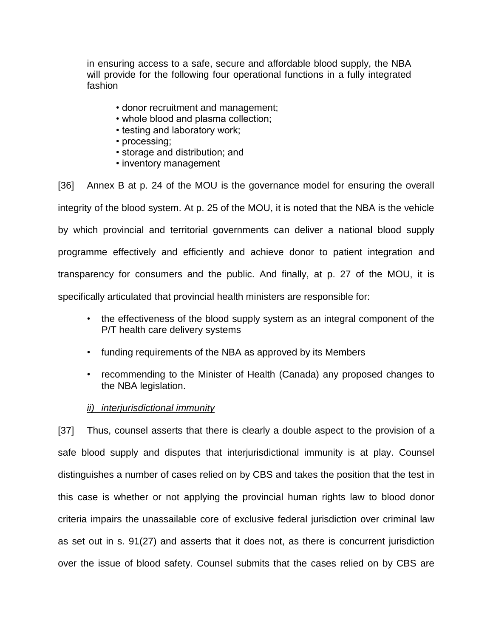in ensuring access to a safe, secure and affordable blood supply, the NBA will provide for the following four operational functions in a fully integrated fashion

- donor recruitment and management;
- whole blood and plasma collection;
- testing and laboratory work;
- processing;
- storage and distribution; and
- inventory management

[36] Annex B at p. 24 of the MOU is the governance model for ensuring the overall integrity of the blood system. At p. 25 of the MOU, it is noted that the NBA is the vehicle by which provincial and territorial governments can deliver a national blood supply programme effectively and efficiently and achieve donor to patient integration and transparency for consumers and the public. And finally, at p. 27 of the MOU, it is specifically articulated that provincial health ministers are responsible for:

- the effectiveness of the blood supply system as an integral component of the P/T health care delivery systems
- funding requirements of the NBA as approved by its Members
- recommending to the Minister of Health (Canada) any proposed changes to the NBA legislation.

## *ii) interjurisdictional immunity*

[37] Thus, counsel asserts that there is clearly a double aspect to the provision of a safe blood supply and disputes that interjurisdictional immunity is at play. Counsel distinguishes a number of cases relied on by CBS and takes the position that the test in this case is whether or not applying the provincial human rights law to blood donor criteria impairs the unassailable core of exclusive federal jurisdiction over criminal law as set out in s. 91(27) and asserts that it does not, as there is concurrent jurisdiction over the issue of blood safety. Counsel submits that the cases relied on by CBS are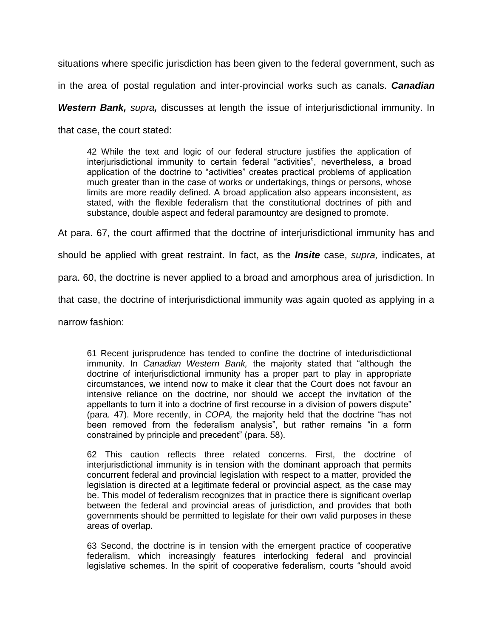situations where specific jurisdiction has been given to the federal government, such as

in the area of postal regulation and inter-provincial works such as canals. *Canadian* 

*Western Bank, supra,* discusses at length the issue of interjurisdictional immunity. In

that case, the court stated:

42 While the text and logic of our federal structure justifies the application of interjurisdictional immunity to certain federal "activities", nevertheless, a broad application of the doctrine to "activities" creates practical problems of application much greater than in the case of works or undertakings, things or persons, whose limits are more readily defined. A broad application also appears inconsistent, as stated, with the flexible federalism that the constitutional doctrines of pith and substance, double aspect and federal paramountcy are designed to promote.

At para. 67, the court affirmed that the doctrine of interjurisdictional immunity has and

should be applied with great restraint. In fact, as the *Insite* case, *supra,* indicates, at

para. 60, the doctrine is never applied to a broad and amorphous area of jurisdiction. In

that case, the doctrine of interjurisdictional immunity was again quoted as applying in a

narrow fashion:

61 Recent jurisprudence has tended to confine the doctrine of intedurisdictional immunity. In *Canadian Western Bank,* the majority stated that "although the doctrine of interjurisdictional immunity has a proper part to play in appropriate circumstances, we intend now to make it clear that the Court does not favour an intensive reliance on the doctrine, nor should we accept the invitation of the appellants to turn it into a doctrine of first recourse in a division of powers dispute" (para. 47). More recently, in *COPA,* the majority held that the doctrine "has not been removed from the federalism analysis", but rather remains "in a form constrained by principle and precedent" (para. 58).

62 This caution reflects three related concerns. First, the doctrine of interjurisdictional immunity is in tension with the dominant approach that permits concurrent federal and provincial legislation with respect to a matter, provided the legislation is directed at a legitimate federal or provincial aspect, as the case may be. This model of federalism recognizes that in practice there is significant overlap between the federal and provincial areas of jurisdiction, and provides that both governments should be permitted to legislate for their own valid purposes in these areas of overlap.

63 Second, the doctrine is in tension with the emergent practice of cooperative federalism, which increasingly features interlocking federal and provincial legislative schemes. In the spirit of cooperative federalism, courts "should avoid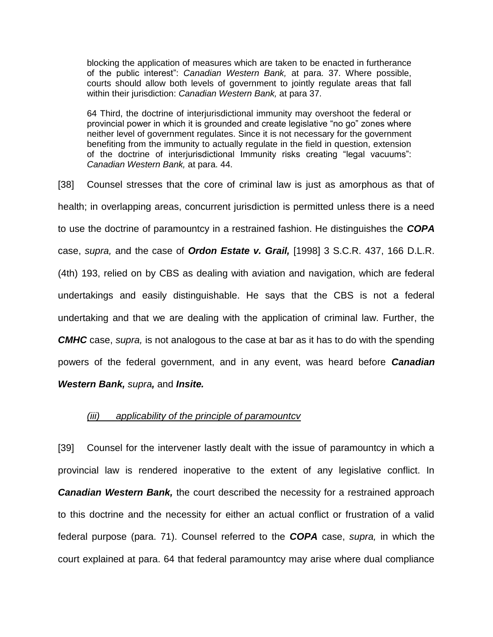blocking the application of measures which are taken to be enacted in furtherance of the public interest": *Canadian Western Bank,* at para. 37. Where possible, courts should allow both levels of government to jointly regulate areas that fall within their jurisdiction: *Canadian Western Bank,* at para 37.

64 Third, the doctrine of interjurisdictional immunity may overshoot the federal or provincial power in which it is grounded and create legislative "no go" zones where neither level of government regulates. Since it is not necessary for the government benefiting from the immunity to actually regulate in the field in question, extension of the doctrine of interjurisdictional Immunity risks creating "legal vacuums": *Canadian Western Bank,* at para. 44.

[38] Counsel stresses that the core of criminal law is just as amorphous as that of health; in overlapping areas, concurrent jurisdiction is permitted unless there is a need to use the doctrine of paramountcy in a restrained fashion. He distinguishes the *COPA*  case, *supra,* and the case of *Ordon Estate v. Grail,* [1998] 3 S.C.R. 437, 166 D.L.R. (4th) 193, relied on by CBS as dealing with aviation and navigation, which are federal undertakings and easily distinguishable. He says that the CBS is not a federal undertaking and that we are dealing with the application of criminal law. Further, the *CMHC* case, *supra,* is not analogous to the case at bar as it has to do with the spending powers of the federal government, and in any event, was heard before *Canadian Western Bank, supra,* and *Insite.* 

#### *(iii) applicability of the principle of paramountcv*

[39] Counsel for the intervener lastly dealt with the issue of paramountcy in which a provincial law is rendered inoperative to the extent of any legislative conflict. In *Canadian Western Bank,* the court described the necessity for a restrained approach to this doctrine and the necessity for either an actual conflict or frustration of a valid federal purpose (para. 71). Counsel referred to the *COPA* case, *supra,* in which the court explained at para. 64 that federal paramountcy may arise where dual compliance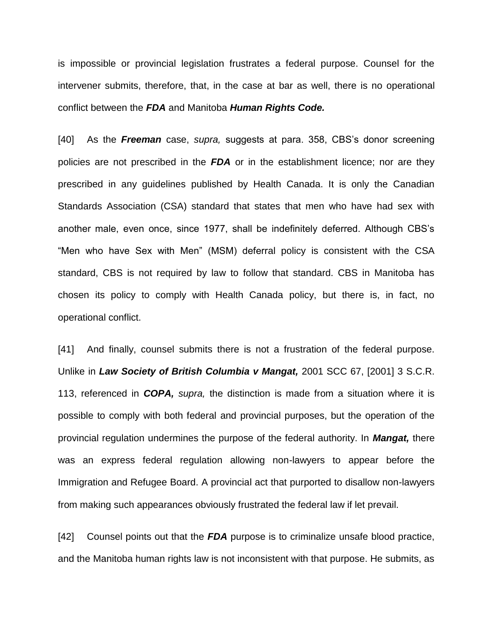is impossible or provincial legislation frustrates a federal purpose. Counsel for the intervener submits, therefore, that, in the case at bar as well, there is no operational conflict between the *FDA* and Manitoba *Human Rights Code.*

[40] As the *Freeman* case, *supra,* suggests at para. 358, CBS's donor screening policies are not prescribed in the *FDA* or in the establishment licence; nor are they prescribed in any guidelines published by Health Canada. It is only the Canadian Standards Association (CSA) standard that states that men who have had sex with another male, even once, since 1977, shall be indefinitely deferred. Although CBS's "Men who have Sex with Men" (MSM) deferral policy is consistent with the CSA standard, CBS is not required by law to follow that standard. CBS in Manitoba has chosen its policy to comply with Health Canada policy, but there is, in fact, no operational conflict.

[41] And finally, counsel submits there is not a frustration of the federal purpose. Unlike in *Law Society of British Columbia v Mangat,* 2001 SCC 67, [2001] 3 S.C.R. 113, referenced in *COPA, supra,* the distinction is made from a situation where it is possible to comply with both federal and provincial purposes, but the operation of the provincial regulation undermines the purpose of the federal authority. In *Mangat,* there was an express federal regulation allowing non-lawyers to appear before the Immigration and Refugee Board. A provincial act that purported to disallow non-lawyers from making such appearances obviously frustrated the federal law if let prevail.

[42] Counsel points out that the *FDA* purpose is to criminalize unsafe blood practice, and the Manitoba human rights law is not inconsistent with that purpose. He submits, as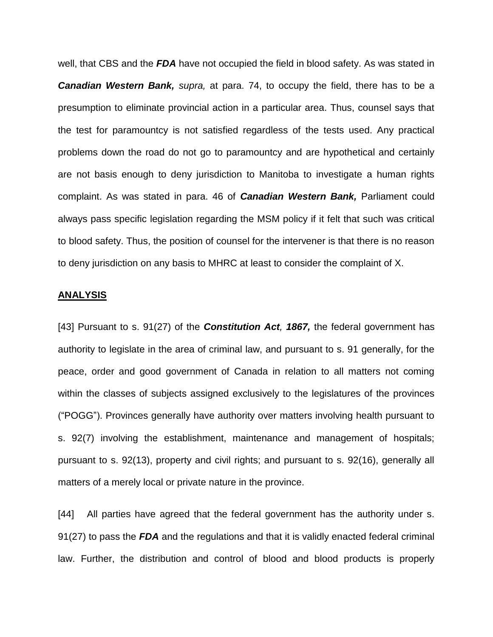well, that CBS and the *FDA* have not occupied the field in blood safety. As was stated in *Canadian Western Bank, supra,* at para. 74, to occupy the field, there has to be a presumption to eliminate provincial action in a particular area. Thus, counsel says that the test for paramountcy is not satisfied regardless of the tests used. Any practical problems down the road do not go to paramountcy and are hypothetical and certainly are not basis enough to deny jurisdiction to Manitoba to investigate a human rights complaint. As was stated in para. 46 of *Canadian Western Bank,* Parliament could always pass specific legislation regarding the MSM policy if it felt that such was critical to blood safety. Thus, the position of counsel for the intervener is that there is no reason to deny jurisdiction on any basis to MHRC at least to consider the complaint of X.

#### **ANALYSIS**

[43] Pursuant to s. 91(27) of the *Constitution Act, 1867,* the federal government has authority to legislate in the area of criminal law, and pursuant to s. 91 generally, for the peace, order and good government of Canada in relation to all matters not coming within the classes of subjects assigned exclusively to the legislatures of the provinces ("POGG"). Provinces generally have authority over matters involving health pursuant to s. 92(7) involving the establishment, maintenance and management of hospitals; pursuant to s. 92(13), property and civil rights; and pursuant to s. 92(16), generally all matters of a merely local or private nature in the province.

[44] All parties have agreed that the federal government has the authority under s. 91(27) to pass the *FDA* and the regulations and that it is validly enacted federal criminal law. Further, the distribution and control of blood and blood products is properly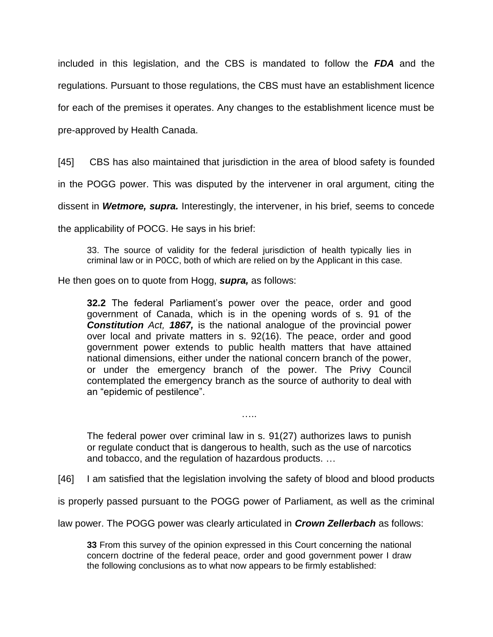included in this legislation, and the CBS is mandated to follow the *FDA* and the regulations. Pursuant to those regulations, the CBS must have an establishment licence for each of the premises it operates. Any changes to the establishment licence must be pre-approved by Health Canada.

[45] CBS has also maintained that jurisdiction in the area of blood safety is founded

in the POGG power. This was disputed by the intervener in oral argument, citing the

dissent in *Wetmore, supra.* Interestingly, the intervener, in his brief, seems to concede

the applicability of POCG. He says in his brief:

33. The source of validity for the federal jurisdiction of health typically lies in criminal law or in P0CC, both of which are relied on by the Applicant in this case.

He then goes on to quote from Hogg, *supra,* as follows:

**32.2** The federal Parliament's power over the peace, order and good government of Canada, which is in the opening words of s. 91 of the *Constitution Act, 1867,* is the national analogue of the provincial power over local and private matters in s. 92(16). The peace, order and good government power extends to public health matters that have attained national dimensions, either under the national concern branch of the power, or under the emergency branch of the power. The Privy Council contemplated the emergency branch as the source of authority to deal with an "epidemic of pestilence".

The federal power over criminal law in s. 91(27) authorizes laws to punish or regulate conduct that is dangerous to health, such as the use of narcotics and tobacco, and the regulation of hazardous products. …

……

[46] I am satisfied that the legislation involving the safety of blood and blood products

is properly passed pursuant to the POGG power of Parliament, as well as the criminal

law power. The POGG power was clearly articulated in *Crown Zellerbach* as follows:

**33** From this survey of the opinion expressed in this Court concerning the national concern doctrine of the federal peace, order and good government power I draw the following conclusions as to what now appears to be firmly established: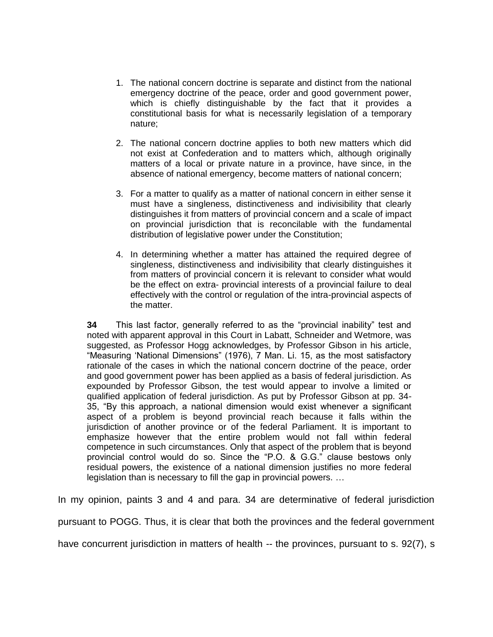- 1. The national concern doctrine is separate and distinct from the national emergency doctrine of the peace, order and good government power, which is chiefly distinguishable by the fact that it provides a constitutional basis for what is necessarily legislation of a temporary nature;
- 2. The national concern doctrine applies to both new matters which did not exist at Confederation and to matters which, although originally matters of a local or private nature in a province, have since, in the absence of national emergency, become matters of national concern;
- 3. For a matter to qualify as a matter of national concern in either sense it must have a singleness, distinctiveness and indivisibility that clearly distinguishes it from matters of provincial concern and a scale of impact on provincial jurisdiction that is reconcilable with the fundamental distribution of legislative power under the Constitution;
- 4. In determining whether a matter has attained the required degree of singleness, distinctiveness and indivisibility that clearly distinguishes it from matters of provincial concern it is relevant to consider what would be the effect on extra- provincial interests of a provincial failure to deal effectively with the control or regulation of the intra-provincial aspects of the matter.

**34** This last factor, generally referred to as the "provincial inability" test and noted with apparent approval in this Court in Labatt, Schneider and Wetmore, was suggested, as Professor Hogg acknowledges, by Professor Gibson in his article, "Measuring 'National Dimensions" (1976), 7 Man. Li. 15, as the most satisfactory rationale of the cases in which the national concern doctrine of the peace, order and good government power has been applied as a basis of federal jurisdiction. As expounded by Professor Gibson, the test would appear to involve a limited or qualified application of federal jurisdiction. As put by Professor Gibson at pp. 34- 35, "By this approach, a national dimension would exist whenever a significant aspect of a problem is beyond provincial reach because it falls within the jurisdiction of another province or of the federal Parliament. It is important to emphasize however that the entire problem would not fall within federal competence in such circumstances. Only that aspect of the problem that is beyond provincial control would do so. Since the "P.O. & G.G." clause bestows only residual powers, the existence of a national dimension justifies no more federal legislation than is necessary to fill the gap in provincial powers. …

In my opinion, paints 3 and 4 and para. 34 are determinative of federal jurisdiction

pursuant to POGG. Thus, it is clear that both the provinces and the federal government

have concurrent jurisdiction in matters of health -- the provinces, pursuant to s. 92(7), s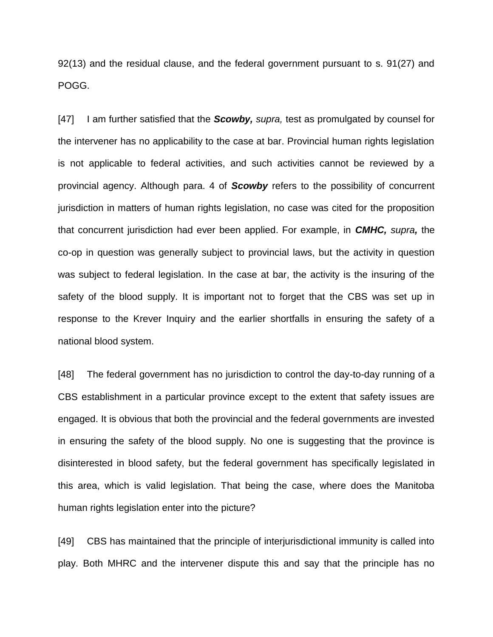92(13) and the residual clause, and the federal government pursuant to s. 91(27) and POGG.

[47] I am further satisfied that the *Scowby, supra,* test as promulgated by counsel for the intervener has no applicability to the case at bar. Provincial human rights legislation is not applicable to federal activities, and such activities cannot be reviewed by a provincial agency. Although para. 4 of *Scowby* refers to the possibility of concurrent jurisdiction in matters of human rights legislation, no case was cited for the proposition that concurrent jurisdiction had ever been applied. For example, in *CMHC, supra,* the co-op in question was generally subject to provincial laws, but the activity in question was subject to federal legislation. In the case at bar, the activity is the insuring of the safety of the blood supply. It is important not to forget that the CBS was set up in response to the Krever Inquiry and the earlier shortfalls in ensuring the safety of a national blood system.

[48] The federal government has no jurisdiction to control the day-to-day running of a CBS establishment in a particular province except to the extent that safety issues are engaged. It is obvious that both the provincial and the federal governments are invested in ensuring the safety of the blood supply. No one is suggesting that the province is disinterested in blood safety, but the federal government has specifically legislated in this area, which is valid legislation. That being the case, where does the Manitoba human rights legislation enter into the picture?

[49] CBS has maintained that the principle of interjurisdictional immunity is called into play. Both MHRC and the intervener dispute this and say that the principle has no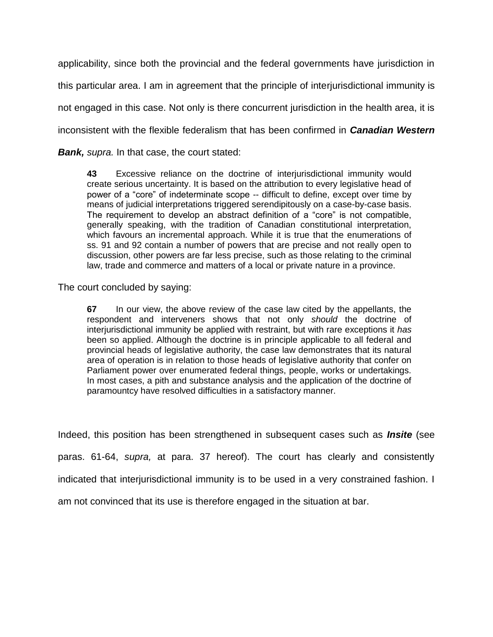applicability, since both the provincial and the federal governments have jurisdiction in this particular area. I am in agreement that the principle of interjurisdictional immunity is not engaged in this case. Not only is there concurrent jurisdiction in the health area, it is inconsistent with the flexible federalism that has been confirmed in *Canadian Western* 

*Bank, supra.* In that case, the court stated:

**43** Excessive reliance on the doctrine of interjurisdictional immunity would create serious uncertainty. It is based on the attribution to every legislative head of power of a "core" of indeterminate scope -- difficult to define, except over time by means of judicial interpretations triggered serendipitously on a case-by-case basis. The requirement to develop an abstract definition of a "core" is not compatible, generally speaking, with the tradition of Canadian constitutional interpretation, which favours an incremental approach. While it is true that the enumerations of ss. 91 and 92 contain a number of powers that are precise and not really open to discussion, other powers are far less precise, such as those relating to the criminal law, trade and commerce and matters of a local or private nature in a province.

The court concluded by saying:

**67** In our view, the above review of the case law cited by the appellants, the respondent and interveners shows that not only *should* the doctrine of interjurisdictional immunity be applied with restraint, but with rare exceptions it *has* been so applied. Although the doctrine is in principle applicable to all federal and provincial heads of legislative authority, the case law demonstrates that its natural area of operation is in relation to those heads of legislative authority that confer on Parliament power over enumerated federal things, people, works or undertakings. In most cases, a pith and substance analysis and the application of the doctrine of paramountcy have resolved difficulties in a satisfactory manner.

Indeed, this position has been strengthened in subsequent cases such as *Insite* (see paras. 61-64, *supra,* at para. 37 hereof). The court has clearly and consistently indicated that interjurisdictional immunity is to be used in a very constrained fashion. I am not convinced that its use is therefore engaged in the situation at bar.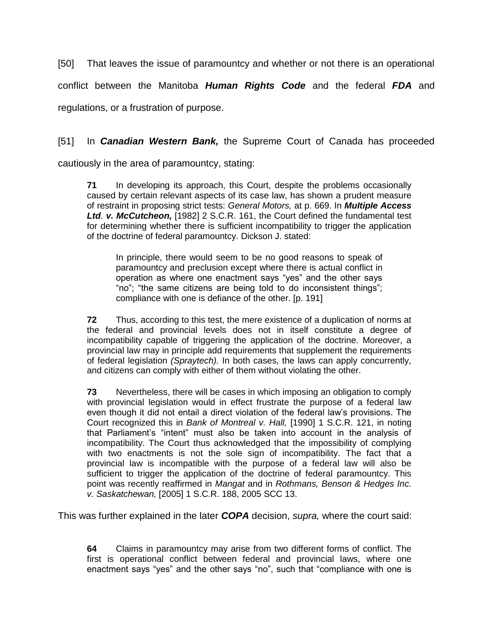[50] That leaves the issue of paramountcy and whether or not there is an operational

conflict between the Manitoba *Human Rights Code* and the federal *FDA* and

regulations, or a frustration of purpose.

## [51] In *Canadian Western Bank,* the Supreme Court of Canada has proceeded

cautiously in the area of paramountcy, stating:

**71** In developing its approach, this Court, despite the problems occasionally caused by certain relevant aspects of its case law, has shown a prudent measure of restraint in proposing strict tests: *General Motors,* at p. 669. In *MuItipIe Access Ltd. v. McCutcheon,* [1982] 2 S.C.R. 161, the Court defined the fundamental test for determining whether there is sufficient incompatibility to trigger the application of the doctrine of federal paramountcy. Dickson J. stated:

In principle, there would seem to be no good reasons to speak of paramountcy and preclusion except where there is actual conflict in operation as where one enactment says "yes" and the other says "no"; "the same citizens are being told to do inconsistent things"; compliance with one is defiance of the other. [p. 191]

**72** Thus, according to this test, the mere existence of a duplication of norms at the federal and provincial levels does not in itself constitute a degree of incompatibility capable of triggering the application of the doctrine. Moreover, a provincial law may in principle add requirements that supplement the requirements of federal legislation *(Spraytech).* In both cases, the laws can apply concurrently, and citizens can comply with either of them without violating the other.

**73** Nevertheless, there will be cases in which imposing an obligation to comply with provincial legislation would in effect frustrate the purpose of a federal law even though it did not entail a direct violation of the federal law's provisions. The Court recognized this in *Bank of Montreal v. Hall,* [1990] 1 S.C.R. 121, in noting that Parliament's "intent" must also be taken into account in the analysis of incompatibility. The Court thus acknowledged that the impossibility of complying with two enactments is not the sole sign of incompatibility. The fact that a provincial law is incompatible with the purpose of a federal law will also be sufficient to trigger the application of the doctrine of federal paramountcy. This point was recently reaffirmed in *Mangat* and in *Rothmans, Benson & Hedges Inc. v. Saskatchewan,* [2005] 1 S.C.R. 188, 2005 SCC 13.

This was further explained in the later *COPA* decision, *supra,* where the court said:

**64** Claims in paramountcy may arise from two different forms of conflict. The first is operational conflict between federal and provincial laws, where one enactment says "yes" and the other says "no", such that "compliance with one is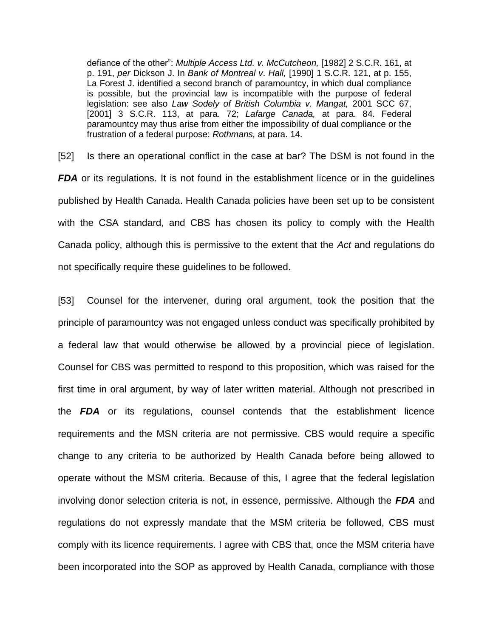defiance of the other": *Multiple Access Ltd. v. McCutcheon,* [1982] 2 S.C.R. 161, at p. 191, *per* Dickson J. In *Bank of Montreal v*. *Hall,* [1990] 1 S.C.R. 121, at p. 155, La Forest J. identified a second branch of paramountcy, in which dual compliance is possible, but the provincial law is incompatible with the purpose of federal legislation: see also *Law Sodely of British Columbia v. Mangat,* 2001 SCC 67, [2001] 3 S.C.R. 113, at para. 72; *Lafarge Canada,* at para. 84. Federal paramountcy may thus arise from either the impossibility of dual compliance or the frustration of a federal purpose: *Rothmans,* at para. 14.

[52] Is there an operational conflict in the case at bar? The DSM is not found in the *FDA* or its regulations. It is not found in the establishment licence or in the quidelines published by Health Canada. Health Canada policies have been set up to be consistent with the CSA standard, and CBS has chosen its policy to comply with the Health Canada policy, although this is permissive to the extent that the *Act* and regulations do not specifically require these guidelines to be followed.

[53] Counsel for the intervener, during oral argument, took the position that the principle of paramountcy was not engaged unless conduct was specifically prohibited by a federal law that would otherwise be allowed by a provincial piece of legislation. Counsel for CBS was permitted to respond to this proposition, which was raised for the first time in oral argument, by way of later written material. Although not prescribed in the *FDA* or its regulations, counsel contends that the establishment licence requirements and the MSN criteria are not permissive. CBS would require a specific change to any criteria to be authorized by Health Canada before being allowed to operate without the MSM criteria. Because of this, I agree that the federal legislation involving donor selection criteria is not, in essence, permissive. Although the *FDA* and regulations do not expressly mandate that the MSM criteria be followed, CBS must comply with its licence requirements. I agree with CBS that, once the MSM criteria have been incorporated into the SOP as approved by Health Canada, compliance with those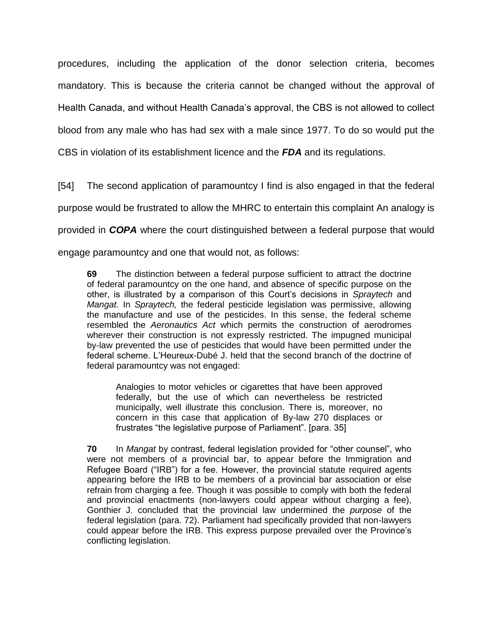procedures, including the application of the donor selection criteria, becomes mandatory. This is because the criteria cannot be changed without the approval of Health Canada, and without Health Canada's approval, the CBS is not allowed to collect blood from any male who has had sex with a male since 1977. To do so would put the CBS in violation of its establishment licence and the *FDA* and its regulations.

[54] The second application of paramountcy I find is also engaged in that the federal

purpose would be frustrated to allow the MHRC to entertain this complaint An analogy is

provided in *COPA* where the court distinguished between a federal purpose that would

engage paramountcy and one that would not, as follows:

**69** The distinction between a federal purpose sufficient to attract the doctrine of federal paramountcy on the one hand, and absence of specific purpose on the other, is illustrated by a comparison of this Court's decisions in *Spraytech* and *Mangat.* In *Spraytech,* the federal pesticide legislation was permissive, allowing the manufacture and use of the pesticides. In this sense, the federal scheme resembled the *Aeronautics Act* which permits the construction of aerodromes wherever their construction is not expressly restricted. The impugned municipal by-law prevented the use of pesticides that would have been permitted under the federal scheme. L'Heureux-Dubé J. held that the second branch of the doctrine of federal paramountcy was not engaged:

Analogies to motor vehicles or cigarettes that have been approved federally, but the use of which can nevertheless be restricted municipally, well illustrate this conclusion. There is, moreover, no concern in this case that application of By-law 270 displaces or frustrates "the legislative purpose of Parliament". [para. 35]

**70** In *Mangat* by contrast, federal legislation provided for "other counsel", who were not members of a provincial bar, to appear before the Immigration and Refugee Board ("IRB") for a fee. However, the provincial statute required agents appearing before the IRB to be members of a provincial bar association or else refrain from charging a fee. Though it was possible to comply with both the federal and provincial enactments (non-lawyers could appear without charging a fee), Gonthier J. concluded that the provincial law undermined the *purpose* of the federal legislation (para. 72). Parliament had specifically provided that non-lawyers could appear before the IRB. This express purpose prevailed over the Province's conflicting legislation.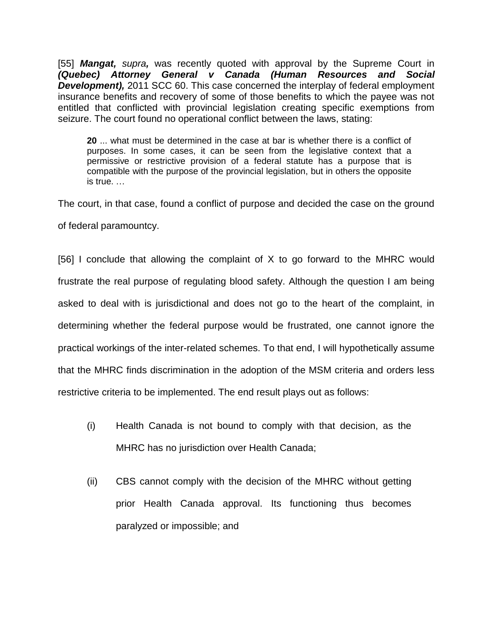[55] *Mangat, supra,* was recently quoted with approval by the Supreme Court in *(Quebec) Attorney General v Canada (Human Resources and Social*  **Development),** 2011 SCC 60. This case concerned the interplay of federal employment insurance benefits and recovery of some of those benefits to which the payee was not entitled that conflicted with provincial legislation creating specific exemptions from seizure. The court found no operational conflict between the laws, stating:

**20** ... what must be determined in the case at bar is whether there is a conflict of purposes. In some cases, it can be seen from the legislative context that a permissive or restrictive provision of a federal statute has a purpose that is compatible with the purpose of the provincial legislation, but in others the opposite is true. …

The court, in that case, found a conflict of purpose and decided the case on the ground of federal paramountcy.

[56] I conclude that allowing the complaint of X to go forward to the MHRC would frustrate the real purpose of regulating blood safety. Although the question I am being asked to deal with is jurisdictional and does not go to the heart of the complaint, in determining whether the federal purpose would be frustrated, one cannot ignore the practical workings of the inter-related schemes. To that end, I will hypothetically assume that the MHRC finds discrimination in the adoption of the MSM criteria and orders less restrictive criteria to be implemented. The end result plays out as follows:

- (i) Health Canada is not bound to comply with that decision, as the MHRC has no jurisdiction over Health Canada;
- (ii) CBS cannot comply with the decision of the MHRC without getting prior Health Canada approval. Its functioning thus becomes paralyzed or impossible; and